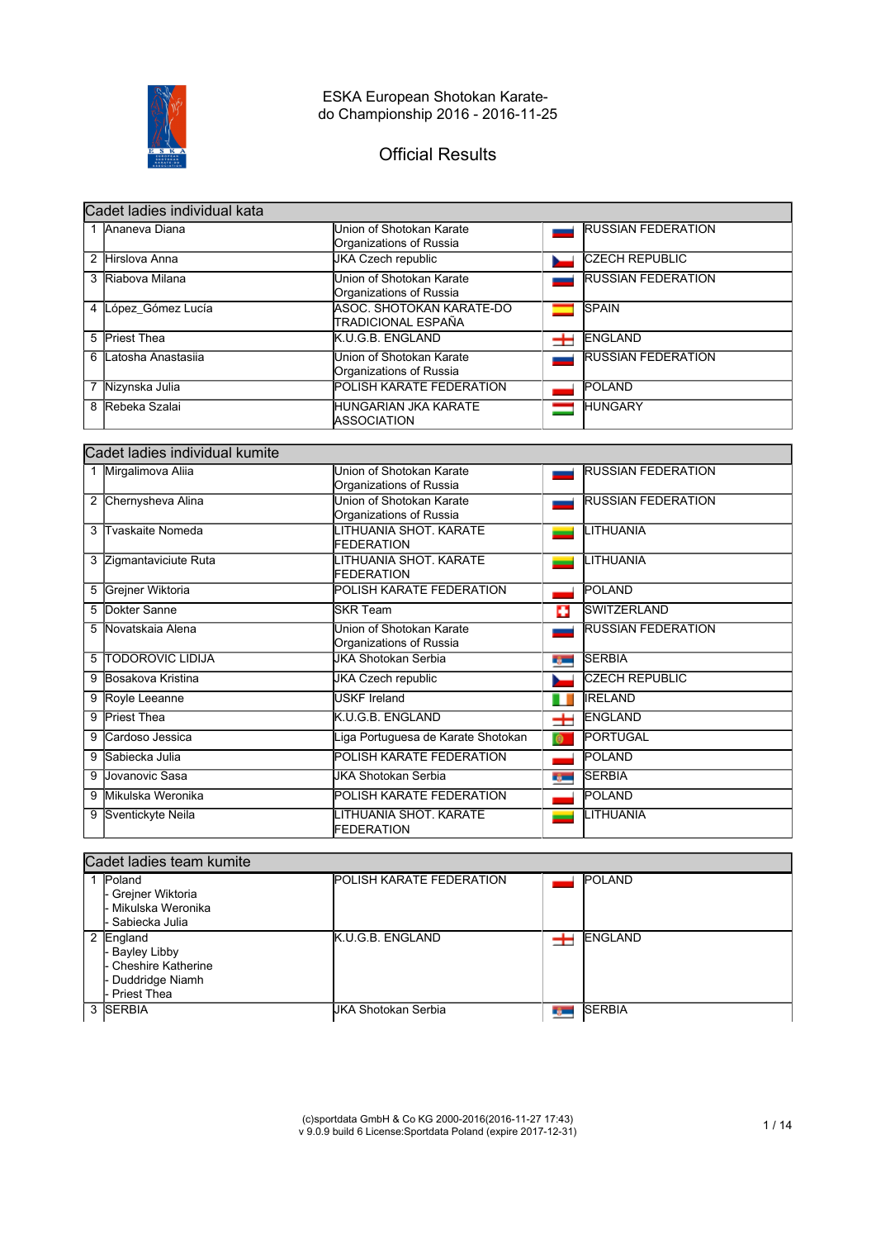

# Official Results

| Cadet ladies individual kata |                                                     |   |                           |  |
|------------------------------|-----------------------------------------------------|---|---------------------------|--|
| 1 Ananeva Diana              | Union of Shotokan Karate<br>Organizations of Russia |   | <b>RUSSIAN FEDERATION</b> |  |
| 2 Hirslova Anna              | <b>JKA Czech republic</b>                           |   | <b>CZECH REPUBLIC</b>     |  |
| 3 Riabova Milana             | Union of Shotokan Karate<br>Organizations of Russia |   | <b>RUSSIAN FEDERATION</b> |  |
| 4 López Gómez Lucía          | ASOC. SHOTOKAN KARATE-DO<br>ITRADICIONAL ESPAÑA     |   | <b>SPAIN</b>              |  |
| 5 Priest Thea                | K.U.G.B. ENGLAND                                    | ᆂ | ENGLAND                   |  |
| 6 Latosha Anastasija         | Union of Shotokan Karate<br>Organizations of Russia |   | <b>RUSSIAN FEDERATION</b> |  |
| 7 Nizynska Julia             | <b>POLISH KARATE FEDERATION</b>                     |   | <b>POLAND</b>             |  |
| 8 Rebeka Szalai              | <b>HUNGARIAN JKA KARATE</b><br><b>IASSOCIATION</b>  |   | <b>HUNGARY</b>            |  |

|   | Cadet ladies individual kumite |                                                     |              |                           |  |  |
|---|--------------------------------|-----------------------------------------------------|--------------|---------------------------|--|--|
|   | 1 Mirgalimova Aliia            | Union of Shotokan Karate<br>Organizations of Russia |              | <b>RUSSIAN FEDERATION</b> |  |  |
|   | 2 Chernysheva Alina            | Union of Shotokan Karate<br>Organizations of Russia |              | <b>RUSSIAN FEDERATION</b> |  |  |
| 3 | Tvaskaite Nomeda               | LITHUANIA SHOT. KARATE<br><b>FEDERATION</b>         |              | LITHUANIA                 |  |  |
|   | 3 Zigmantaviciute Ruta         | LITHUANIA SHOT. KARATE<br><b>FEDERATION</b>         |              | <b>LITHUANIA</b>          |  |  |
|   | 5 Grejner Wiktoria             | POLISH KARATE FEDERATION                            |              | POLAND                    |  |  |
| 5 | Dokter Sanne                   | <b>SKR Team</b>                                     | п            | SWITZERLAND               |  |  |
| 5 | <b>Novatskaja Alena</b>        | Union of Shotokan Karate<br>Organizations of Russia |              | <b>RUSSIAN FEDERATION</b> |  |  |
| 5 | <b>TODOROVIC LIDIJA</b>        | JKA Shotokan Serbia                                 | <b>By Co</b> | <b>SERBIA</b>             |  |  |
| 9 | Bosakova Kristina              | JKA Czech republic                                  |              | <b>CZECH REPUBLIC</b>     |  |  |
|   | 9 Royle Leeanne                | <b>USKF Ireland</b>                                 | ш            | <b>IRELAND</b>            |  |  |
| 9 | <b>Priest Thea</b>             | K.U.G.B. ENGLAND                                    | ᆂ            | <b>ENGLAND</b>            |  |  |
|   | Cardoso Jessica                | Liga Portuguesa de Karate Shotokan                  | $\bullet$    | PORTUGAL                  |  |  |
| 9 | Sabiecka Julia                 | POLISH KARATE FEDERATION                            |              | <b>POLAND</b>             |  |  |
| 9 | Jovanovic Sasa                 | JKA Shotokan Serbia                                 | ng m         | <b>SERBIA</b>             |  |  |
| 9 | Mikulska Weronika              | POLISH KARATE FEDERATION                            |              | POLAND                    |  |  |
| 9 | Sventickyte Neila              | LITHUANIA SHOT, KARATE<br>FEDERATION                |              | LITHUANIA                 |  |  |

| Cadet ladies team kumite                                                        |                                 |                |                |  |
|---------------------------------------------------------------------------------|---------------------------------|----------------|----------------|--|
| 1 Poland<br>- Grejner Wiktoria<br>- Mikulska Weronika<br>. Sabiecka Julia.      | <b>POLISH KARATE FEDERATION</b> |                | <b>POLAND</b>  |  |
| England<br>Bayley Libby<br>Cheshire Katherine<br>Duddridge Niamh<br>Priest Thea | K.U.G.B. ENGLAND                |                | <b>ENGLAND</b> |  |
| 3 SERBIA                                                                        | UKA Shotokan Serbia             | <b>De Mill</b> | <b>SERBIA</b>  |  |

(c)sportdata GmbH & Co KG 2000-2016(2016-11-27 17:43) v 9.0.9 build 6 License:Sportdata Poland (expire 2017-12-31) 1 / 14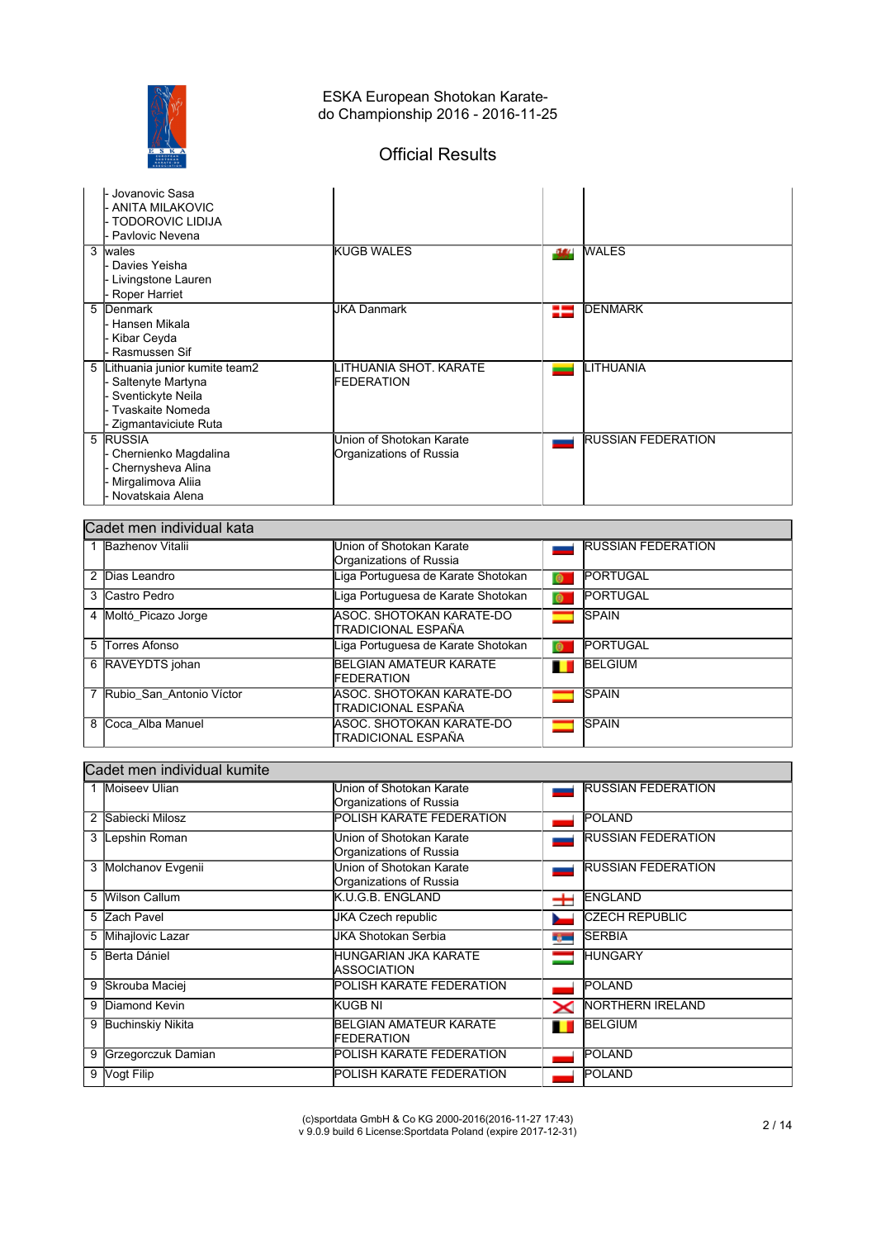

# Official Results

| - Jovanovic Sasa<br>ANITA MILAKOVIC<br>- TODOROVIC LIDIJA<br>- Pavlovic Nevena                                             |                                                     |      |                           |
|----------------------------------------------------------------------------------------------------------------------------|-----------------------------------------------------|------|---------------------------|
| 3<br>wales<br>Davies Yeisha<br>Livingstone Lauren<br>Roper Harriet                                                         | <b>KUGB WALES</b>                                   | -944 | <b>WALES</b>              |
| 5<br>Denmark<br>Hansen Mikala<br>- Kibar Ceyda<br>Rasmussen Sif                                                            | <b>JKA Danmark</b>                                  | 25   | <b>IDENMARK</b>           |
| Lithuania junior kumite team2<br>5<br>Saltenyte Martyna<br>Sventickyte Neila<br>- Tvaskaite Nomeda<br>Zigmantaviciute Ruta | LITHUANIA SHOT. KARATE<br><b>IFEDERATION</b>        |      | LITHUANIA                 |
| 5 <b>RUSSIA</b><br>Chernienko Magdalina<br>Chernysheva Alina<br>Mirgalimova Aliia<br>· Novatskaia Alena                    | Union of Shotokan Karate<br>Organizations of Russia |      | <b>RUSSIAN FEDERATION</b> |

|   | Cadet men individual kata |                                    |           |                           |  |
|---|---------------------------|------------------------------------|-----------|---------------------------|--|
|   | Bazhenov Vitalii          | Union of Shotokan Karate           |           | <b>RUSSIAN FEDERATION</b> |  |
|   |                           | Organizations of Russia            |           |                           |  |
|   | 2 Dias Leandro            | Liga Portuguesa de Karate Shotokan | $\bullet$ | PORTUGAL                  |  |
|   | 3 Castro Pedro            | Liga Portuguesa de Karate Shotokan | $\bullet$ | <b>PORTUGAL</b>           |  |
|   | 4 Moltó Picazo Jorge      | ASOC, SHOTOKAN KARATE-DO           |           | <b>SPAIN</b>              |  |
|   |                           | İTRADICIONAL ESPAÑA                |           |                           |  |
|   | 5 Torres Afonso           | Liga Portuguesa de Karate Shotokan | $\bullet$ | <b>PORTUGAL</b>           |  |
|   | 6 RAVEYDTS johan          | <b>BELGIAN AMATEUR KARATE</b>      | п         | <b>BELGIUM</b>            |  |
|   |                           | <b>FEDERATION</b>                  |           |                           |  |
|   | Rubio San Antonio Víctor  | IASOC. SHOTOKAN KARATE-DO          |           | <b>SPAIN</b>              |  |
|   |                           | İTRADICIONAL ESPAÑA                |           |                           |  |
| 8 | Coca Alba Manuel          | IASOC. SHOTOKAN KARATE-DO          |           | <b>SPAIN</b>              |  |
|   |                           | İTRADICIONAL ESPAÑA                |           |                           |  |

## Cadet men individual kumite

|   | Moiseev Ulian            | Union of Shotokan Karate        |      | <b>RUSSIAN FEDERATION</b> |
|---|--------------------------|---------------------------------|------|---------------------------|
|   |                          | Organizations of Russia         |      |                           |
| 2 | Sabiecki Milosz          | POLISH KARATE FEDERATION        |      | <b>POLAND</b>             |
| 3 | Lepshin Roman            | Union of Shotokan Karate        |      | <b>RUSSIAN FEDERATION</b> |
|   |                          | Organizations of Russia         |      |                           |
| 3 | Molchanov Evgenii        | Union of Shotokan Karate        |      | <b>RUSSIAN FEDERATION</b> |
|   |                          | Organizations of Russia         |      |                           |
| 5 | <b>Wilson Callum</b>     | K.U.G.B. ENGLAND                | ᆂ    | <b>ENGLAND</b>            |
|   | 5 Zach Pavel             | JKA Czech republic              |      | <b>CZECH REPUBLIC</b>     |
| 5 | Mihajlovic Lazar         | JKA Shotokan Serbia             | ng m | <b>SERBIA</b>             |
| 5 | Berta Dániel             | HUNGARIAN JKA KARATE            |      | <b>HUNGARY</b>            |
|   |                          | IASSOCIATION                    |      |                           |
| 9 | Skrouba Maciej           | <b>POLISH KARATE FEDERATION</b> |      | <b>POLAND</b>             |
| 9 | Diamond Kevin            | IKUGB NI                        | ✕    | <b>NORTHERN IRELAND</b>   |
| 9 | <b>Buchinskiy Nikita</b> | <b>BELGIAN AMATEUR KARATE</b>   |      | <b>BELGIUM</b>            |
|   |                          | <b>FEDERATION</b>               |      |                           |
| 9 | Grzegorczuk Damian       | POLISH KARATE FEDERATION        |      | <b>POLAND</b>             |
| 9 | Vogt Filip               | <b>POLISH KARATE FEDERATION</b> |      | POLAND                    |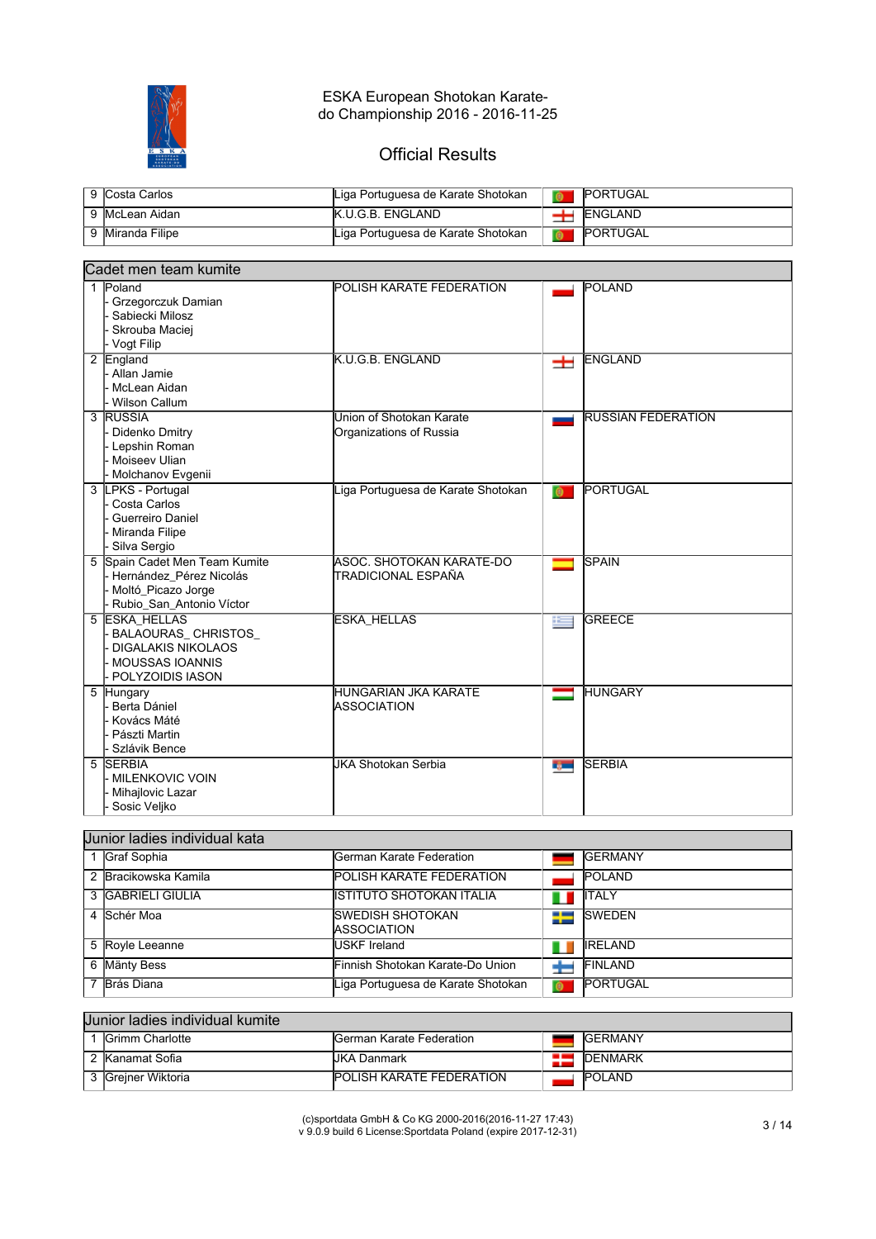

# Official Results

| 9 Costa Carlos   | Liga Portuguesa de Karate Shotokan | <b>IPORTUGAL</b> |
|------------------|------------------------------------|------------------|
| 9 McLean Aidan   | <b>K.U.G.B. ENGLAND</b>            | ENGLAND          |
| 9 Miranda Filipe | Liga Portuguesa de Karate Shotokan | <b>PORTUGAL</b>  |

| Cadet men team kumite                                                                                           |                                                     |        |                           |  |  |
|-----------------------------------------------------------------------------------------------------------------|-----------------------------------------------------|--------|---------------------------|--|--|
| 1 Poland<br>Grzegorczuk Damian<br>Sabiecki Milosz<br>Skrouba Maciej<br>- Vogt Filip                             | POLISH KARATE FEDERATION                            |        | <b>POLAND</b>             |  |  |
| 2 England<br>Allan Jamie<br>McLean Aidan<br><b>Wilson Callum</b>                                                | K.U.G.B. ENGLAND                                    | 士      | <b>ENGLAND</b>            |  |  |
| 3 RUSSIA<br>Didenko Dmitry<br>Lepshin Roman<br>Moiseev Ulian<br>Molchanov Evgenii                               | Union of Shotokan Karate<br>Organizations of Russia |        | <b>RUSSIAN FEDERATION</b> |  |  |
| 3 LPKS - Portugal<br>Costa Carlos<br>Guerreiro Daniel<br>Miranda Filipe<br>Silva Sergio                         | Liga Portuguesa de Karate Shotokan                  | ெ      | PORTUGAL                  |  |  |
| Spain Cadet Men Team Kumite<br>5<br>Hernández Pérez Nicolás<br>Moltó_Picazo Jorge<br>Rubio_San_Antonio Víctor   | ASOC, SHOTOKAN KARATE-DO<br>TRADICIONAL ESPAÑA      |        | <b>SPAIN</b>              |  |  |
| 5 ESKA HELLAS<br>BALAOURAS_CHRISTOS_<br><b>DIGALAKIS NIKOLAOS</b><br><b>MOUSSAS IOANNIS</b><br>POLYZOIDIS IASON | <b>ESKA HELLAS</b>                                  | $\pm$  | <b>GREECE</b>             |  |  |
| 5 Hungary<br>Berta Dániel<br>Kovács Máté<br>Pászti Martin<br>Szlávik Bence                                      | HUNGARIAN JKA KARATE<br><b>ASSOCIATION</b>          | ═      | <b>HUNGARY</b>            |  |  |
| <b>SERBIA</b><br>5<br><b>MILENKOVIC VOIN</b><br>Mihajlovic Lazar<br>Sosic Veljko                                | <b>JKA Shotokan Serbia</b>                          | r juml | <b>SERBIA</b>             |  |  |

| Uunior ladies individual kata |                                         |           |                 |  |
|-------------------------------|-----------------------------------------|-----------|-----------------|--|
| Graf Sophia                   | lGerman Karate Federation               |           | <b>IGERMANY</b> |  |
| 2 Bracikowska Kamila          | <b>POLISH KARATE FEDERATION</b>         |           | <b>POLAND</b>   |  |
| 3 IGABRIELI GIULIA            | IISTITUTO SHOTOKAN ITALIA               | ш         | ITALY           |  |
| 4 Schér Moa                   | ISWEDISH SHOTOKAN<br><b>ASSOCIATION</b> | ₩         | <b>ISWEDEN</b>  |  |
| 5 Royle Leeanne               | IUSKF Ireland                           | Ш         | <b>IRELAND</b>  |  |
| 6 Mänty Bess                  | lFinnish Shotokan Karate-Do Union       |           | FINLAND         |  |
| Brás Diana                    | Liga Portuguesa de Karate Shotokan      | $\bullet$ | <b>PORTUGAL</b> |  |

| Uunior ladies individual kumite |                         |                                  |  |                 |  |
|---------------------------------|-------------------------|----------------------------------|--|-----------------|--|
|                                 | <b>IGrimm Charlotte</b> | <b>IGerman Karate Federation</b> |  | <b>IGERMANY</b> |  |
|                                 | 2 Kanamat Sofia         | UKA Danmark                      |  | <b>IDENMARK</b> |  |
|                                 | 3 Greiner Wiktoria      | <b>POLISH KARATE FEDERATION</b>  |  | <b>POLAND</b>   |  |

(c)sportdata GmbH & Co KG 2000-2016(2016-11-27 17:43) v 9.0.9 build 6 License:Sportdata Poland (expire 2017-12-31) 3 / 14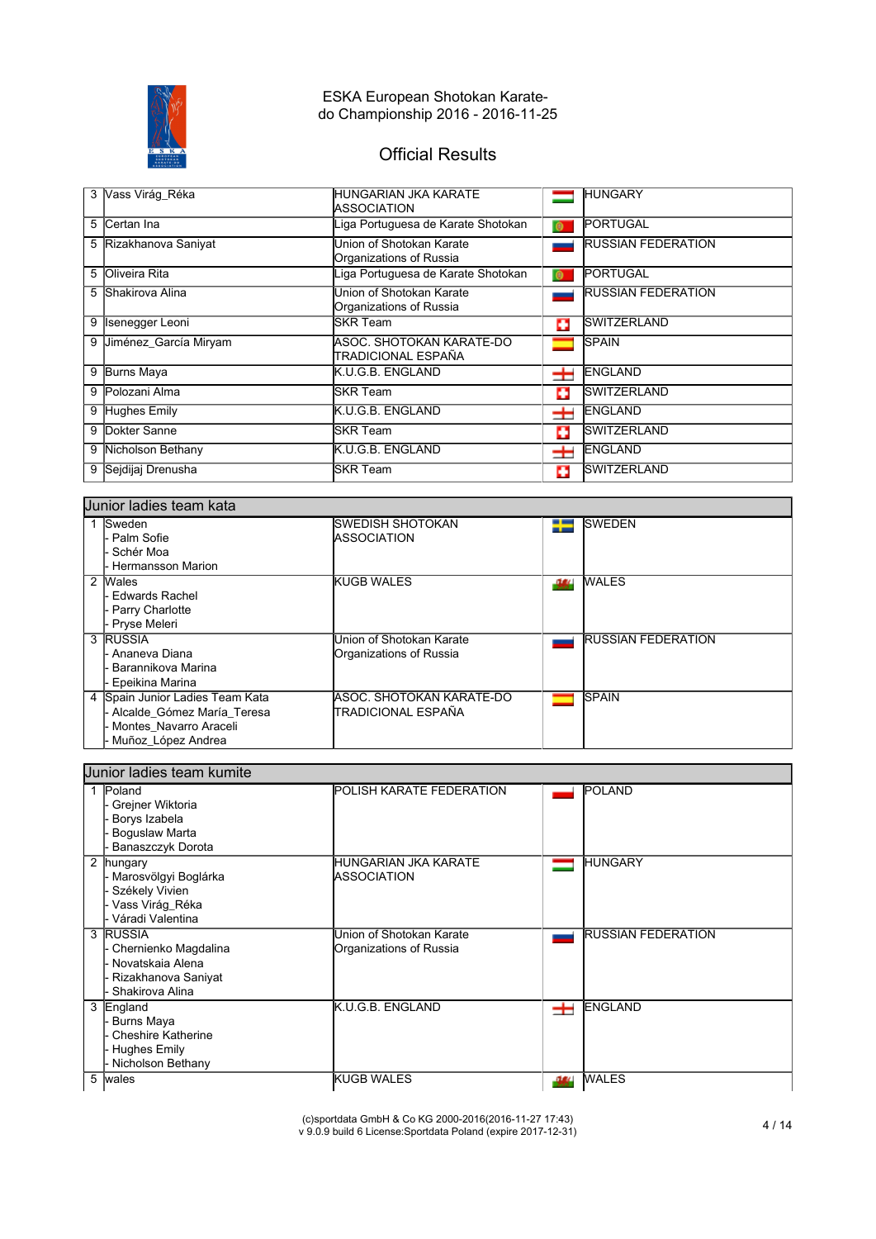

# Official Results

|   | 3 Vass Virág Réka     | IHUNGARIAN JKA KARATE<br><b>IASSOCIATION</b>        |           | <b>HUNGARY</b>            |
|---|-----------------------|-----------------------------------------------------|-----------|---------------------------|
|   | 5 Certan Ina          | Liga Portuguesa de Karate Shotokan                  | $\bullet$ | <b>PORTUGAL</b>           |
|   | 5 Rizakhanova Saniyat | Union of Shotokan Karate<br>Organizations of Russia |           | <b>RUSSIAN FEDERATION</b> |
|   | 5 Oliveira Rita       | Liga Portuguesa de Karate Shotokan                  | $\bullet$ | <b>PORTUGAL</b>           |
|   | 5 Shakirova Alina     | Union of Shotokan Karate<br>Organizations of Russia |           | <b>RUSSIAN FEDERATION</b> |
| 9 | Isenegger Leoni       | lSKR Team                                           | ш         | <b>SWITZERLAND</b>        |
| 9 | Uiménez García Miryam | ASOC. SHOTOKAN KARATE-DO<br>TRADICIONAL ESPAÑA      |           | <b>SPAIN</b>              |
| 9 | <b>Burns Maya</b>     | K.U.G.B. ENGLAND                                    | ᆂ         | ENGLAND                   |
|   | 9 Polozani Alma       | <b>SKR</b> Team                                     | ш         | <b>SWITZERLAND</b>        |
|   | 9 Hughes Emily        | <b>K.U.G.B. ENGLAND</b>                             | +         | <b>ENGLAND</b>            |
|   | 9 Dokter Sanne        | lSKR Team                                           | о         | <b>SWITZERLAND</b>        |
|   | 9 Nicholson Bethany   | <b>K.U.G.B. ENGLAND</b>                             | ᆂ         | <b>ENGLAND</b>            |
|   | 9 Sejdijaj Drenusha   | ISKR Team                                           | о         | <b>SWITZERLAND</b>        |

|   | Uunior ladies team kata                                                                                     |                                                     |      |                           |  |
|---|-------------------------------------------------------------------------------------------------------------|-----------------------------------------------------|------|---------------------------|--|
|   | <b>Sweden</b><br>- Palm Sofie<br>Schér Moa<br><b>Hermansson Marion</b>                                      | ISWEDISH SHOTOKAN<br><b>IASSOCIATION</b>            | 25   | <b>ISWEDEN</b>            |  |
| 2 | Wales<br>Edwards Rachel<br>- Parry Charlotte<br>- Pryse Meleri                                              | <b>KUGB WALES</b>                                   | -984 | <b>WALES</b>              |  |
|   | 3 RUSSIA<br>Ananeva Diana<br>Barannikova Marina<br>Epeikina Marina                                          | Union of Shotokan Karate<br>Organizations of Russia |      | <b>RUSSIAN FEDERATION</b> |  |
| 4 | Spain Junior Ladies Team Kata<br>Alcalde Gómez María Teresa<br>Montes Navarro Araceli<br>Muñoz López Andrea | IASOC. SHOTOKAN KARATE-DO<br>ITRADICIONAL ESPAÑA    |      | <b>SPAIN</b>              |  |

|                | Uunior ladies team kumite                                                                      |                                                     |      |                           |
|----------------|------------------------------------------------------------------------------------------------|-----------------------------------------------------|------|---------------------------|
|                | Poland<br>Grejner Wiktoria<br>Borys Izabela<br>Boguslaw Marta<br>Banaszczyk Dorota             | POLISH KARATE FEDERATION                            |      | POLAND                    |
| $\overline{2}$ | hungary<br>Marosvölgyi Boglárka<br>Székely Vivien<br>Vass Virág_Réka<br>Váradi Valentina       | HUNGARIAN JKA KARATE<br>ASSOCIATION                 |      | <b>HUNGARY</b>            |
|                | 3 RUSSIA<br>Chernienko Magdalina<br>Novatskaja Alena<br>Rizakhanova Saniyat<br>Shakirova Alina | Union of Shotokan Karate<br>Organizations of Russia |      | <b>RUSSIAN FEDERATION</b> |
|                | 3 England<br>Burns Maya<br><b>Cheshire Katherine</b><br>Hughes Emily<br>Nicholson Bethany      | K.U.G.B. ENGLAND                                    | ᆂ    | <b>ENGLAND</b>            |
|                | 5 wales                                                                                        | KUGB WALES                                          | -344 | <b>WALES</b>              |

٦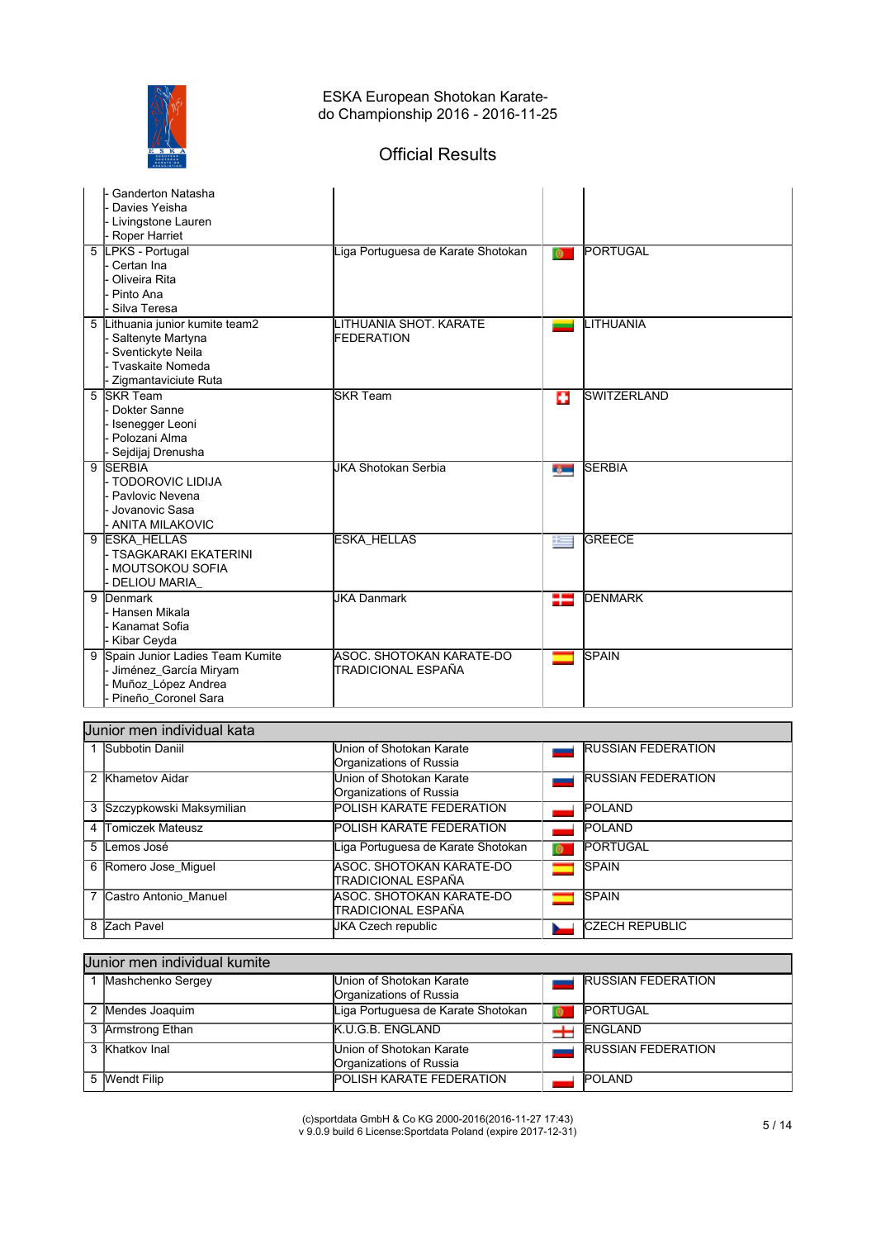

# Official Results

| <b>Ganderton Natasha</b><br>Davies Yeisha<br>Livingstone Lauren<br>Roper Harriet                                         |                                                |           |                    |
|--------------------------------------------------------------------------------------------------------------------------|------------------------------------------------|-----------|--------------------|
| <b>LPKS</b> - Portugal<br>5<br>- Certan Ina<br>Oliveira Rita<br>Pinto Ana<br>Silva Teresa                                | Liga Portuguesa de Karate Shotokan             | $\bullet$ | PORTUGAL           |
| Lithuania junior kumite team2<br>5<br>Saltenyte Martyna<br>Sventickyte Neila<br>Tvaskaite Nomeda<br>Zigmantaviciute Ruta | LITHUANIA SHOT, KARATE<br><b>FEDERATION</b>    |           | LITHUANIA          |
| 5 SKR Team<br>Dokter Sanne<br>- Isenegger Leoni<br>Polozani Alma<br>Sejdijaj Drenusha                                    | <b>SKR Team</b>                                | o         | <b>SWITZERLAND</b> |
| 9 SERBIA<br>- TODOROVIC LIDIJA<br>Pavlovic Nevena<br>Jovanovic Sasa<br><b>ANITA MILAKOVIC</b>                            | <b>JKA Shotokan Serbia</b>                     | r, m      | <b>SERBIA</b>      |
| 9 ESKA HELLAS<br>- TSAGKARAKI EKATERINI<br><b>MOUTSOKOU SOFIA</b><br>DELIOU MARIA                                        | <b>ESKA_HELLAS</b>                             | $\pm$     | <b>GREECE</b>      |
| 9<br>Denmark<br><b>Hansen Mikala</b><br>Kanamat Sofia<br>Kibar Ceyda                                                     | <b>JKA Danmark</b>                             | ₩         | <b>DENMARK</b>     |
| 9 Spain Junior Ladies Team Kumite<br>Jiménez_García Miryam<br>Muñoz_López Andrea<br>Pineño_Coronel Sara                  | ASOC. SHOTOKAN KARATE-DO<br>TRADICIONAL ESPAÑA |           | <b>SPAIN</b>       |

## Junior men individual kata

|   | Subbotin Daniil          | Union of Shotokan Karate           |   | <b>RUSSIAN FEDERATION</b> |
|---|--------------------------|------------------------------------|---|---------------------------|
|   |                          | Organizations of Russia            |   |                           |
| 2 | Khametov Aidar           | Union of Shotokan Karate           |   | <b>RUSSIAN FEDERATION</b> |
|   |                          | Organizations of Russia            |   |                           |
| 3 | Szczypkowski Maksymilian | POLISH KARATE FEDERATION           |   | <b>POLAND</b>             |
| 4 | Tomiczek Mateusz         | POLISH KARATE FEDERATION           |   | <b>POLAND</b>             |
| 5 | Lemos José               | Liga Portuguesa de Karate Shotokan | ை | <b>PORTUGAL</b>           |
| 6 | Romero Jose Miguel       | ASOC. SHOTOKAN KARATE-DO           |   | <b>SPAIN</b>              |
|   |                          | ITRADICIONAL ESPAÑA                |   |                           |
|   | Castro Antonio Manuel    | ASOC. SHOTOKAN KARATE-DO           |   | <b>SPAIN</b>              |
|   |                          | ITRADICIONAL ESPAÑA                |   |                           |
| 8 | Zach Pavel               | JKA Czech republic                 |   | <b>CZECH REPUBLIC</b>     |

#### Junior men individual kumite

| Mashchenko Sergey | Union of Shotokan Karate           | <b>RUSSIAN FEDERATION</b> |
|-------------------|------------------------------------|---------------------------|
|                   | Organizations of Russia            |                           |
| Mendes Joaquim    | Liga Portuguesa de Karate Shotokan | <b>PORTUGAL</b>           |
| 3 Armstrong Ethan | K.U.G.B. ENGLAND                   | ENGLAND                   |
| 3 Khatkov Inal    | Union of Shotokan Karate           | <b>RUSSIAN FEDERATION</b> |
|                   | Organizations of Russia            |                           |
| 5 Wendt Filip     | <b>POLISH KARATE FEDERATION</b>    | <b>POLAND</b>             |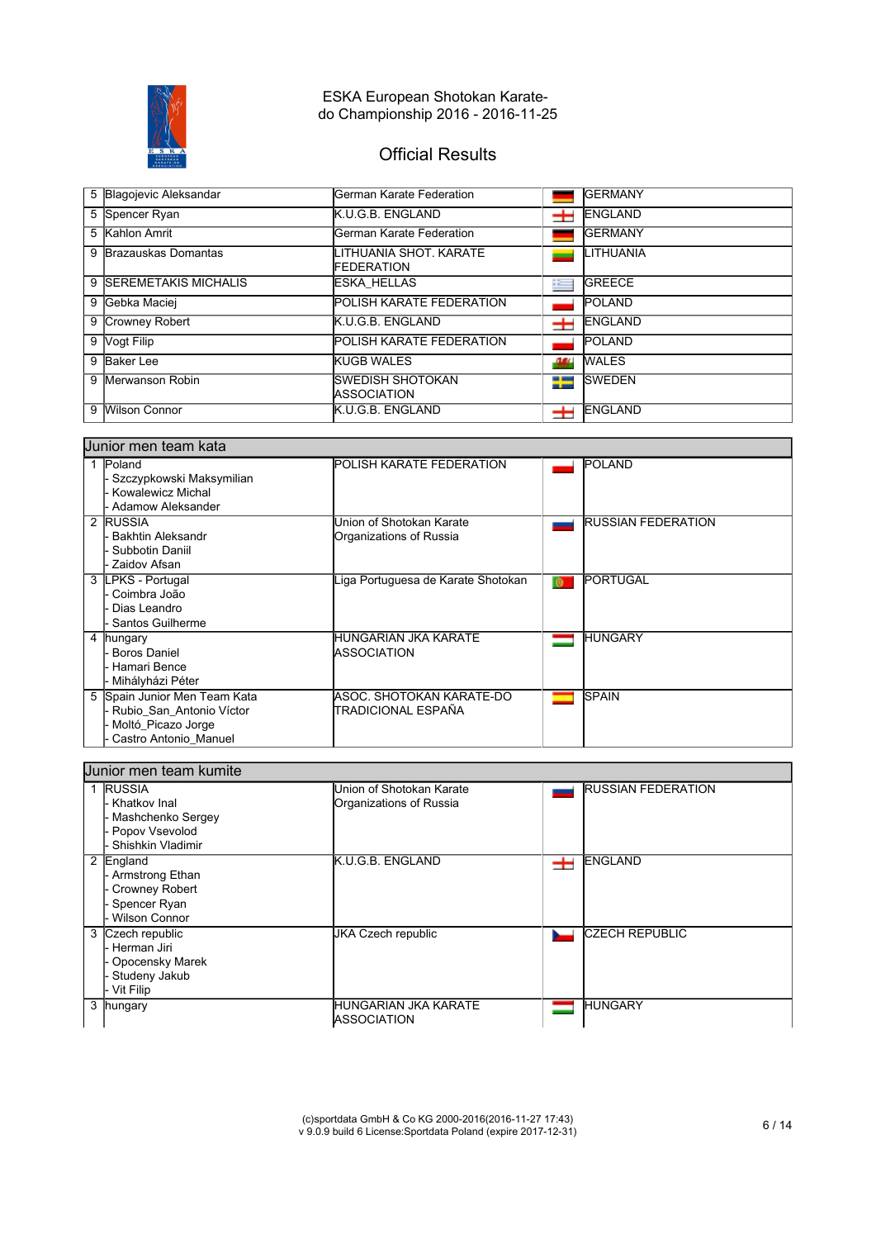

# Official Results

| 5 Blagojevic Aleksandar | lGerman Karate Federation                      |              | <b>GERMANY</b>   |
|-------------------------|------------------------------------------------|--------------|------------------|
| 5 Spencer Ryan          | K.U.G.B. ENGLAND                               | ∸            | <b>ENGLAND</b>   |
| 5 Kahlon Amrit          | <b>I</b> German Karate Federation              |              | <b>IGERMANY</b>  |
| 9 Brazauskas Domantas   | LITHUANIA SHOT, KARATE<br><b>FEDERATION</b>    |              | <b>LITHUANIA</b> |
| 9 SEREMETAKIS MICHALIS  | <b>ESKA HELLAS</b>                             | $\mathbf{r}$ | <b>GREECE</b>    |
| 9 Gebka Maciej          | <b>POLISH KARATE FEDERATION</b>                |              | <b>POLAND</b>    |
| 9 Crowney Robert        | K.U.G.B. ENGLAND                               | ∸            | <b>IENGLAND</b>  |
| 9 Vogt Filip            | <b>POLISH KARATE FEDERATION</b>                |              | <b>POLAND</b>    |
| 9 Baker Lee             | <b>KUGB WALES</b>                              | -944         | <b>WALES</b>     |
| 9 Merwanson Robin       | <b>SWEDISH SHOTOKAN</b><br><b>IASSOCIATION</b> | ₩            | <b>ISWEDEN</b>   |
| 9 Wilson Connor         | K.U.G.B. ENGLAND                               | ᆂ            | <b>ENGLAND</b>   |

#### Junior men team kata

| Poland<br>Szczypkowski Maksymilian<br>Kowalewicz Michal<br>Adamow Aleksander                            | <b>POLISH KARATE FEDERATION</b>                     |           | <b>POLAND</b>             |
|---------------------------------------------------------------------------------------------------------|-----------------------------------------------------|-----------|---------------------------|
| 2 RUSSIA<br>Bakhtin Aleksandr<br>Subbotin Daniil<br>Zaidov Afsan                                        | Union of Shotokan Karate<br>Organizations of Russia |           | <b>RUSSIAN FEDERATION</b> |
| 3 LPKS - Portugal<br>Coimbra João<br>Dias Leandro<br>Santos Guilherme                                   | Liga Portuguesa de Karate Shotokan                  | $\bullet$ | <b>PORTUGAL</b>           |
| 4 hungary<br>Boros Daniel<br>Hamari Bence<br>Mihályházi Péter                                           | HUNGARIAN JKA KARATE<br><b>IASSOCIATION</b>         |           | <b>HUNGARY</b>            |
| 5 Spain Junior Men Team Kata<br>Rubio San Antonio Víctor<br>Moltó_Picazo Jorge<br>Castro Antonio Manuel | IASOC. SHOTOKAN KARATE-DO<br>İTRADICIONAL ESPAÑA    |           | <b>SPAIN</b>              |

#### Junior men team kumite 1 RUSSIA RUSSIAN FEDERATION Union of Shotokan Karate - Khatkov Inal Organizations of Russia Mashchenko Sergey Popov Vsevolod Shishkin Vladimir K.U.G.B. ENGLAND **ENGLAND** 2 England - Armstrong Ethan Crowney Robert Spencer Ryan Wilson Connor 3 Czech republic JKA Czech republic **CZECH REPUBLIC** Herman Jiri - Opocensky Marek Studeny Jakub - Vit Filip<br>3 hungary HUNGARIAN JKA KARATE **HUNGARY** Ξ -**ASSOCIATION**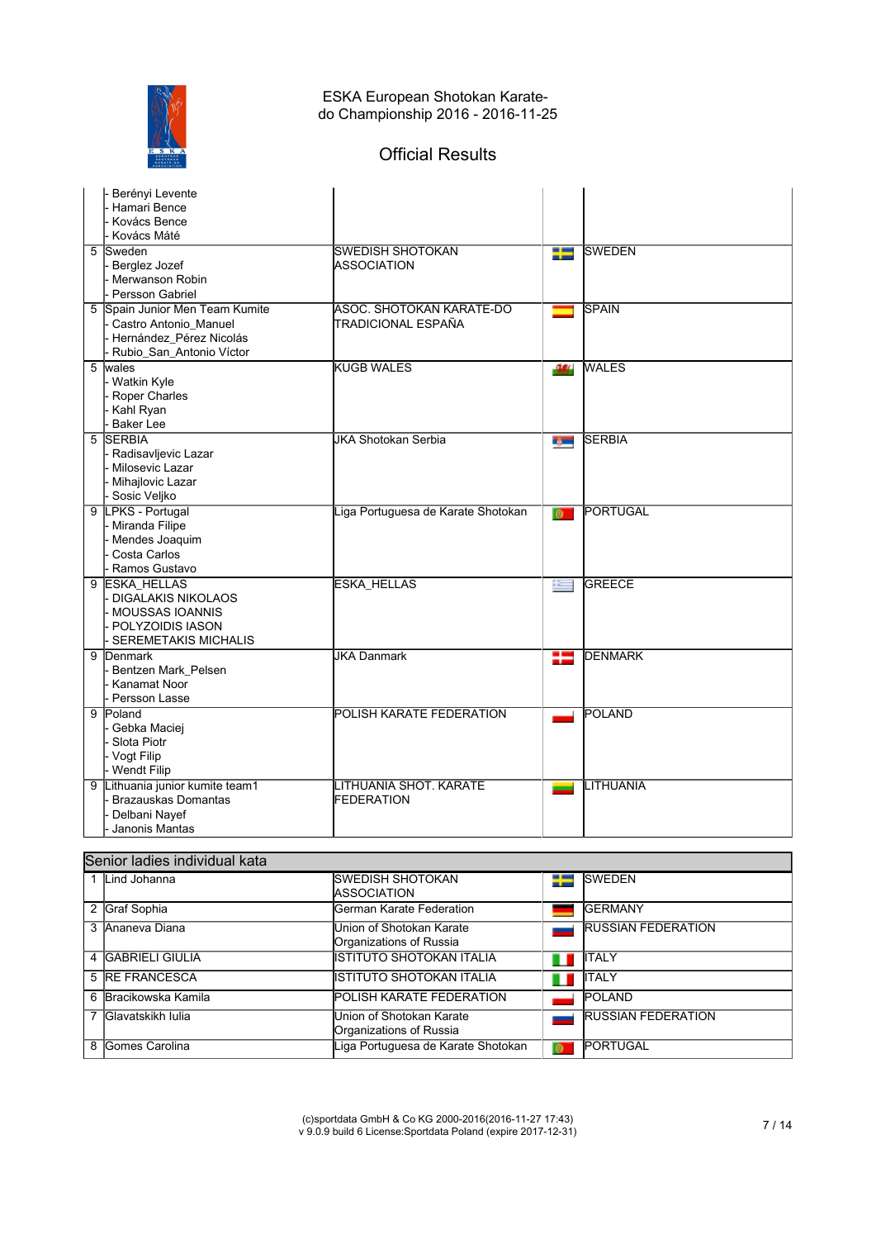

# Official Results

|   | Berényi Levente<br>Hamari Bence<br>Kovács Bence<br>Kovács Máté                                                          |                                                     |              |                           |
|---|-------------------------------------------------------------------------------------------------------------------------|-----------------------------------------------------|--------------|---------------------------|
| 5 | Sweden<br>Berglez Jozef<br>Merwanson Robin<br><b>Persson Gabriel</b>                                                    | <b>SWEDISH SHOTOKAN</b><br><b>ASSOCIATION</b>       | ₩            | <b>SWEDEN</b>             |
|   | 5 Spain Junior Men Team Kumite<br>Castro Antonio_Manuel<br>Hernández_Pérez Nicolás<br>Rubio_San_Antonio Víctor          | ASOC. SHOTOKAN KARATE-DO<br>TRADICIONAL ESPAÑA      |              | <b>SPAIN</b>              |
|   | 5 wales<br>- Watkin Kyle<br>Roper Charles<br>Kahl Ryan<br>Baker Lee                                                     | <b>KUGB WALES</b>                                   | -364         | <b>WALES</b>              |
|   | 5 SERBIA<br>- Radisavljevic Lazar<br>Milosevic Lazar<br>Mihajlovic Lazar<br>Sosic Veljko                                | <b>JKA Shotokan Serbia</b>                          | rg m         | <b>SERBIA</b>             |
|   | 9 LPKS - Portugal<br>- Miranda Filipe<br>Mendes Joaquim<br>Costa Carlos<br>Ramos Gustavo                                | Liga Portuguesa de Karate Shotokan                  | $\bullet$    | PORTUGAL                  |
|   | 9 ESKA_HELLAS<br><b>DIGALAKIS NIKOLAOS</b><br><b>MOUSSAS IOANNIS</b><br>POLYZOIDIS IASON<br><b>SEREMETAKIS MICHALIS</b> | <b>ESKA_HELLAS</b>                                  | $\mathbf{E}$ | <b>GREECE</b>             |
|   | 9 Denmark<br>Bentzen Mark_Pelsen<br>Kanamat Noor<br>Persson Lasse                                                       | <b>JKA Danmark</b>                                  | ₩            | <b>DENMARK</b>            |
|   | 9 Poland<br>Gebka Maciej<br>Slota Piotr<br>- Vogt Filip<br>- Wendt Filip                                                | <b>POLISH KARATE FEDERATION</b>                     |              | <b>POLAND</b>             |
| 9 | Lithuania junior kumite team1<br><b>Brazauskas Domantas</b><br>Delbani Nayef<br>Janonis Mantas                          | LITHUANIA SHOT. KARATE<br>FEDERATION                |              | LITHUANIA                 |
|   | Senior ladies individual kata                                                                                           |                                                     |              |                           |
|   | 1 Lind Johanna                                                                                                          | <b>SWEDISH SHOTOKAN</b><br><b>ASSOCIATION</b>       | ₩            | <b>SWEDEN</b>             |
|   | 2 Graf Sophia                                                                                                           | German Karate Federation                            |              | <b>GERMANY</b>            |
|   | 3 Ananeva Diana                                                                                                         | Union of Shotokan Karate<br>Organizations of Russia |              | <b>RUSSIAN FEDERATION</b> |
|   | 4 GABRIELI GIULIA                                                                                                       | <b>ISTITUTO SHOTOKAN ITALIA</b>                     |              | <b>ITALY</b>              |
|   | 5 RE FRANCESCA                                                                                                          | <b>ISTITUTO SHOTOKAN ITALIA</b>                     |              | <b>ITALY</b>              |
|   | 6 Bracikowska Kamila                                                                                                    | POLISH KARATE FEDERATION                            |              | POLAND                    |

Organizations of Russia

8 Gomes Carolina **Liga Portuguesa de Karate Shotokan O** PORTUGAL

7 Glavatskikh Iulia **Union of Shotokan Karate** 

RUSSIAN FEDERATION

 $\overline{\phantom{a}}$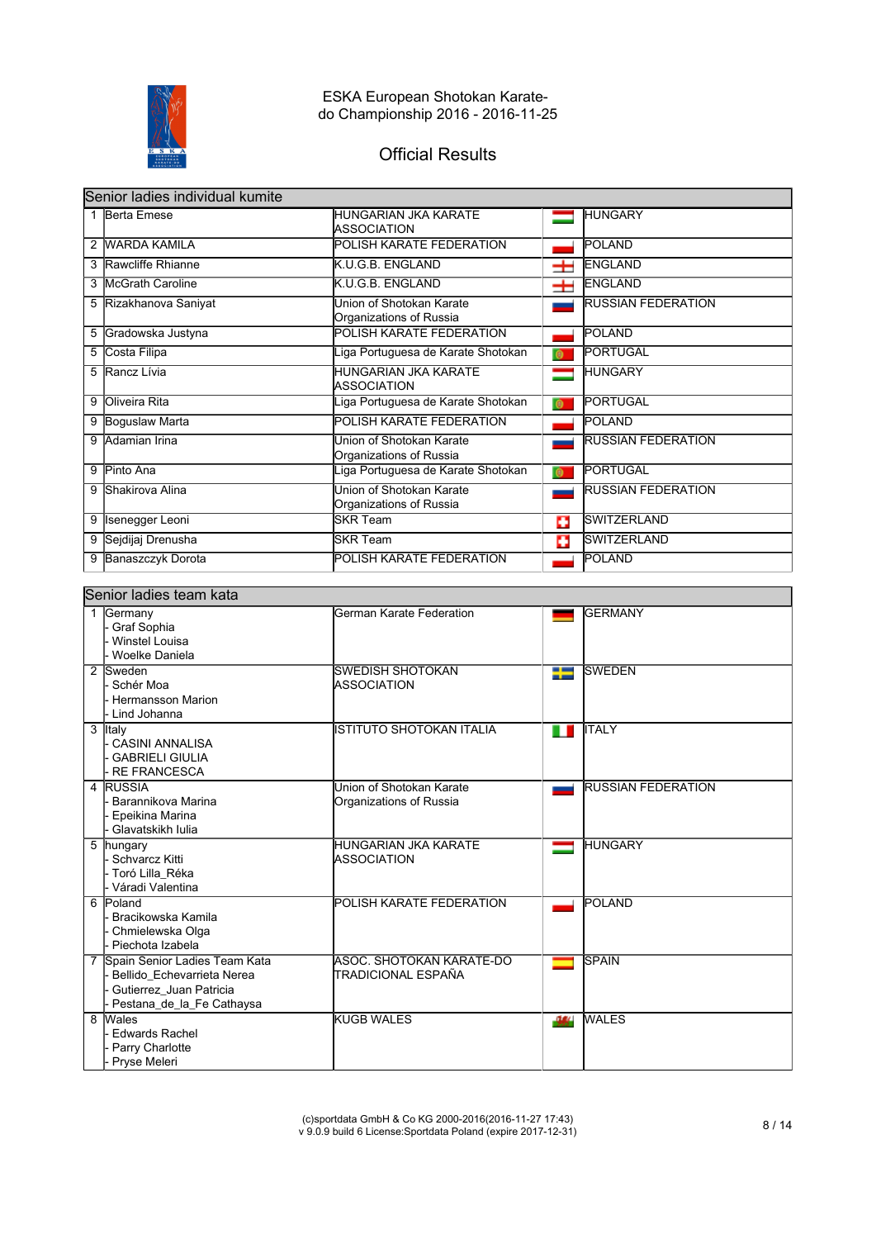

# Official Results

|   | Senior ladies individual kumite |                                                     |           |                           |  |  |
|---|---------------------------------|-----------------------------------------------------|-----------|---------------------------|--|--|
|   | 1 Berta Emese                   | HUNGARIAN JKA KARATE<br><b>ASSOCIATION</b>          |           | <b>HUNGARY</b>            |  |  |
| 2 | <b>WARDA KAMILA</b>             | POLISH KARATE FEDERATION                            |           | <b>POLAND</b>             |  |  |
|   | 3 Rawcliffe Rhianne             | K.U.G.B. ENGLAND                                    | ᆂ         | <b>ENGLAND</b>            |  |  |
| 3 | <b>McGrath Caroline</b>         | K.U.G.B. ENGLAND                                    | ᆂ         | <b>ENGLAND</b>            |  |  |
| 5 | Rizakhanova Saniyat             | Union of Shotokan Karate<br>Organizations of Russia |           | <b>RUSSIAN FEDERATION</b> |  |  |
| 5 | Gradowska Justyna               | POLISH KARATE FEDERATION                            |           | POLAND                    |  |  |
| 5 | Costa Filipa                    | iga Portuguesa de Karate Shotokan                   | $\bullet$ | <b>PORTUGAL</b>           |  |  |
| 5 | Rancz Lívia                     | <b>HUNGARIAN JKA KARATE</b><br><b>ASSOCIATION</b>   | ═         | <b>HUNGARY</b>            |  |  |
| 9 | Oliveira Rita                   | iga Portuguesa de Karate Shotokan                   | $\bullet$ | <b>PORTUGAL</b>           |  |  |
| 9 | Boguslaw Marta                  | POLISH KARATE FEDERATION                            |           | POLAND                    |  |  |
| 9 | Adamian Irina                   | Union of Shotokan Karate<br>Organizations of Russia |           | <b>RUSSIAN FEDERATION</b> |  |  |
| 9 | Pinto Ana                       | iga Portuguesa de Karate Shotokan                   | $\bullet$ | PORTUGAL                  |  |  |
| 9 | <b>Shakirova Alina</b>          | Union of Shotokan Karate<br>Organizations of Russia |           | <b>RUSSIAN FEDERATION</b> |  |  |
| 9 | Isenegger Leoni                 | <b>SKR Team</b>                                     | п         | <b>SWITZERLAND</b>        |  |  |
| 9 | Sejdijaj Drenusha               | <b>SKR Team</b>                                     | о         | <b>SWITZERLAND</b>        |  |  |
| 9 | Banaszczyk Dorota               | POLISH KARATE FEDERATION                            |           | <b>POLAND</b>             |  |  |

#### Senior ladies team kata

| Germany<br>1     |                                 | German Karate Federation        |      | <b>GERMANY</b>            |
|------------------|---------------------------------|---------------------------------|------|---------------------------|
| Graf Sophia      |                                 |                                 |      |                           |
|                  | - Winstel Louisa                |                                 |      |                           |
|                  | Woelke Daniela                  |                                 |      |                           |
| 2 Sweden         |                                 | SWEDISH SHOTOKAN                | ₩    | <b>SWEDEN</b>             |
| - Schér Moa      |                                 | <b>ASSOCIATION</b>              |      |                           |
|                  | <b>Hermansson Marion</b>        |                                 |      |                           |
| Lind Johanna     |                                 |                                 |      |                           |
| 3 Italy          |                                 | ISTITUTO SHOTOKAN ITALIA        | ш    | <b>ITALY</b>              |
|                  | - CASINI ANNALISA               |                                 |      |                           |
|                  | <b>GABRIELI GIULIA</b>          |                                 |      |                           |
|                  | <b>RE FRANCESCA</b>             |                                 |      |                           |
| 4 RUSSIA         |                                 | Union of Shotokan Karate        |      | <b>RUSSIAN FEDERATION</b> |
|                  | Barannikova Marina              | Organizations of Russia         |      |                           |
|                  | Epeikina Marina                 |                                 |      |                           |
|                  | Glavatskikh Iulia               |                                 |      |                           |
| 5 hungary        |                                 | IHUNGARIAN JKA KARATE           |      | <b>HUNGARY</b>            |
| - Schvarcz Kitti |                                 | <b>ASSOCIATION</b>              |      |                           |
|                  | - Toró Lilla_Réka               |                                 |      |                           |
|                  | - Váradi Valentina              |                                 |      |                           |
| 6 Poland         |                                 | <b>POLISH KARATE FEDERATION</b> |      | <b>POLAND</b>             |
|                  | Bracikowska Kamila              |                                 |      |                           |
|                  | - Chmielewska Olga              |                                 |      |                           |
|                  | Piechota Izabela                |                                 |      |                           |
|                  | 7 Spain Senior Ladies Team Kata | <b>ASOC, SHOTOKAN KARATE-DO</b> |      | <b>SPAIN</b>              |
|                  | Bellido Echevarrieta Nerea      | ITRADICIONAL ESPAÑA             |      |                           |
|                  | Gutierrez Juan Patricia         |                                 |      |                           |
|                  | Pestana_de_la_Fe Cathaysa       |                                 |      |                           |
| 8 Wales          |                                 | <b>KUGB WALES</b>               | -364 | <b>WALES</b>              |
|                  | <b>Edwards Rachel</b>           |                                 |      |                           |
|                  | Parry Charlotte                 |                                 |      |                           |
| Pryse Meleri     |                                 |                                 |      |                           |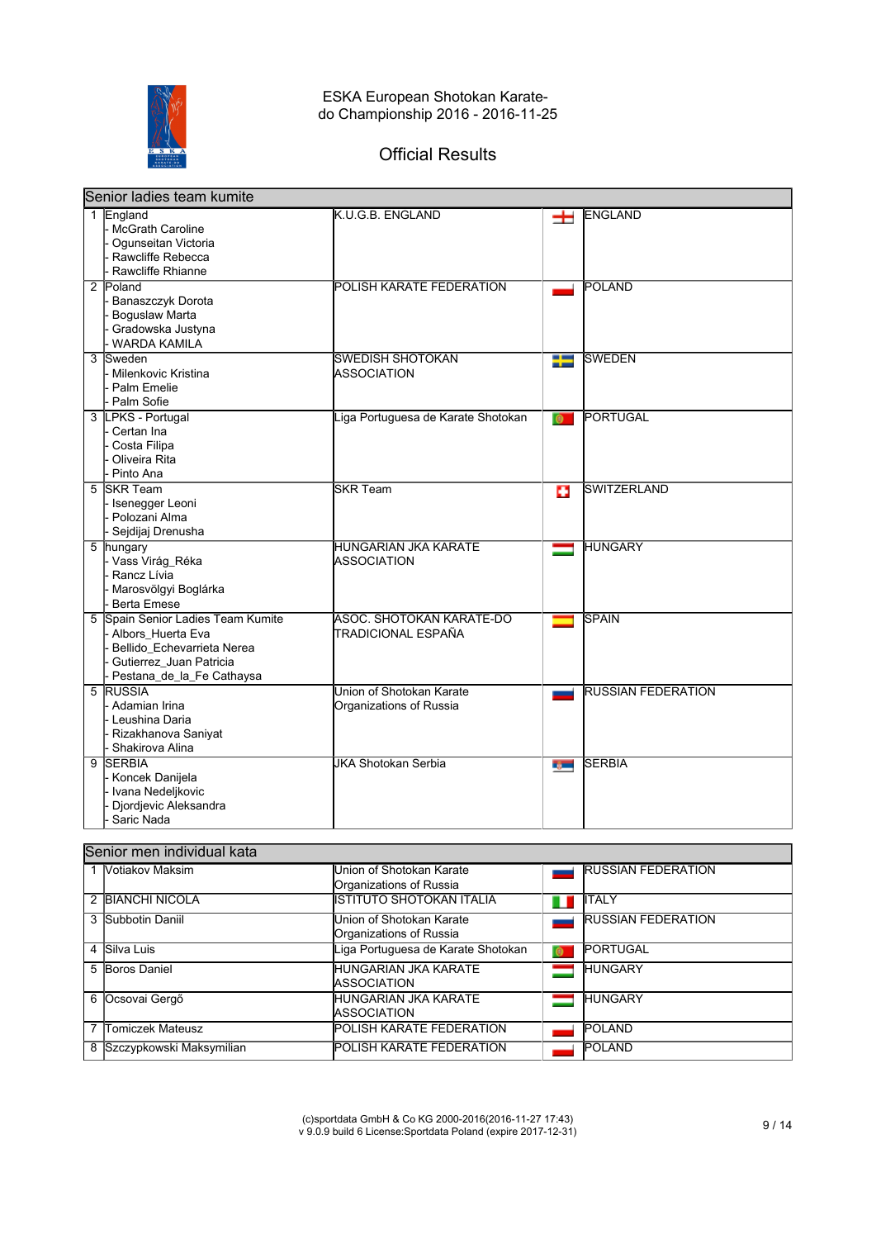

# Official Results

|   | Senior ladies team kumite                                                                                                                    |                                                     |               |                           |  |
|---|----------------------------------------------------------------------------------------------------------------------------------------------|-----------------------------------------------------|---------------|---------------------------|--|
|   | 1 England<br><b>McGrath Caroline</b><br>Ogunseitan Victoria<br>Rawcliffe Rebecca<br>Rawcliffe Rhianne                                        | K.U.G.B. ENGLAND                                    | 士             | <b>ENGLAND</b>            |  |
|   | 2 Poland<br>Banaszczyk Dorota<br><b>Boguslaw Marta</b><br>Gradowska Justyna<br><b>WARDA KAMILA</b>                                           | POLISH KARATE FEDERATION                            |               | <b>POLAND</b>             |  |
| 3 | Sweden<br>- Milenkovic Kristina<br>Palm Emelie<br>Palm Sofie                                                                                 | <b>SWEDISH SHOTOKAN</b><br><b>ASSOCIATION</b>       | ╄             | <b>SWEDEN</b>             |  |
|   | 3 LPKS - Portugal<br>Certan Ina<br>Costa Filipa<br>Oliveira Rita<br>Pinto Ana                                                                | Liga Portuguesa de Karate Shotokan                  | $\bullet$     | PORTUGAL                  |  |
| 5 | <b>SKR Team</b><br>- Isenegger Leoni<br>Polozani Alma<br>Sejdijaj Drenusha                                                                   | <b>SKR Team</b>                                     | o             | <b>SWITZERLAND</b>        |  |
| 5 | hungary<br>- Vass Virág_Réka<br>Rancz Lívia<br>Marosvölgyi Boglárka<br><b>Berta Emese</b>                                                    | <b>HUNGARIAN JKA KARATE</b><br><b>ASSOCIATION</b>   |               | <b>HUNGARY</b>            |  |
| 5 | Spain Senior Ladies Team Kumite<br>- Albors_Huerta Eva<br>Bellido Echevarrieta Nerea<br>Gutierrez_Juan Patricia<br>Pestana_de_la_Fe Cathaysa | ASOC, SHOTOKAN KARATE-DO<br>TRADICIONAL ESPAÑA      |               | <b>SPAIN</b>              |  |
|   | 5 RUSSIA<br>Adamian Irina<br><b>Leushina Daria</b><br>Rizakhanova Saniyat<br>Shakirova Alina                                                 | Union of Shotokan Karate<br>Organizations of Russia |               | <b>RUSSIAN FEDERATION</b> |  |
| 9 | <b>SERBIA</b><br>Koncek Danijela<br>Ivana Nedeljkovic<br>Djordjevic Aleksandra<br>Saric Nada                                                 | <b>JKA Shotokan Serbia</b>                          | <b>Report</b> | <b>SERBIA</b>             |  |

#### Senior men individual kata

| <b>Votiakov Maksim</b>     | Union of Shotokan Karate           |           | <b>RUSSIAN FEDERATION</b> |
|----------------------------|------------------------------------|-----------|---------------------------|
|                            | Organizations of Russia            |           |                           |
| 2 BIANCHI NICOLA           | İISTITUTO SHOTOKAN ITALIA          | Ш         | <b>TALY</b>               |
| 3 Subbotin Daniil          | Union of Shotokan Karate           |           | <b>RUSSIAN FEDERATION</b> |
|                            | Organizations of Russia            |           |                           |
| 4 Silva Luis               | Liga Portuguesa de Karate Shotokan | $\bullet$ | PORTUGAL                  |
| 5 Boros Daniel             | <b>HUNGARIAN JKA KARATE</b>        |           | <b>HUNGARY</b>            |
|                            | <b>IASSOCIATION</b>                |           |                           |
| 6 Ocsovai Gergő            | <b>IHUNGARIAN JKA KARATE</b>       |           | <b>HUNGARY</b>            |
|                            | <b>IASSOCIATION</b>                |           |                           |
| Tomiczek Mateusz           | <b>POLISH KARATE FEDERATION</b>    |           | <b>POLAND</b>             |
| 8 Szczypkowski Maksymilian | <b>POLISH KARATE FEDERATION</b>    |           | <b>POLAND</b>             |
|                            |                                    |           |                           |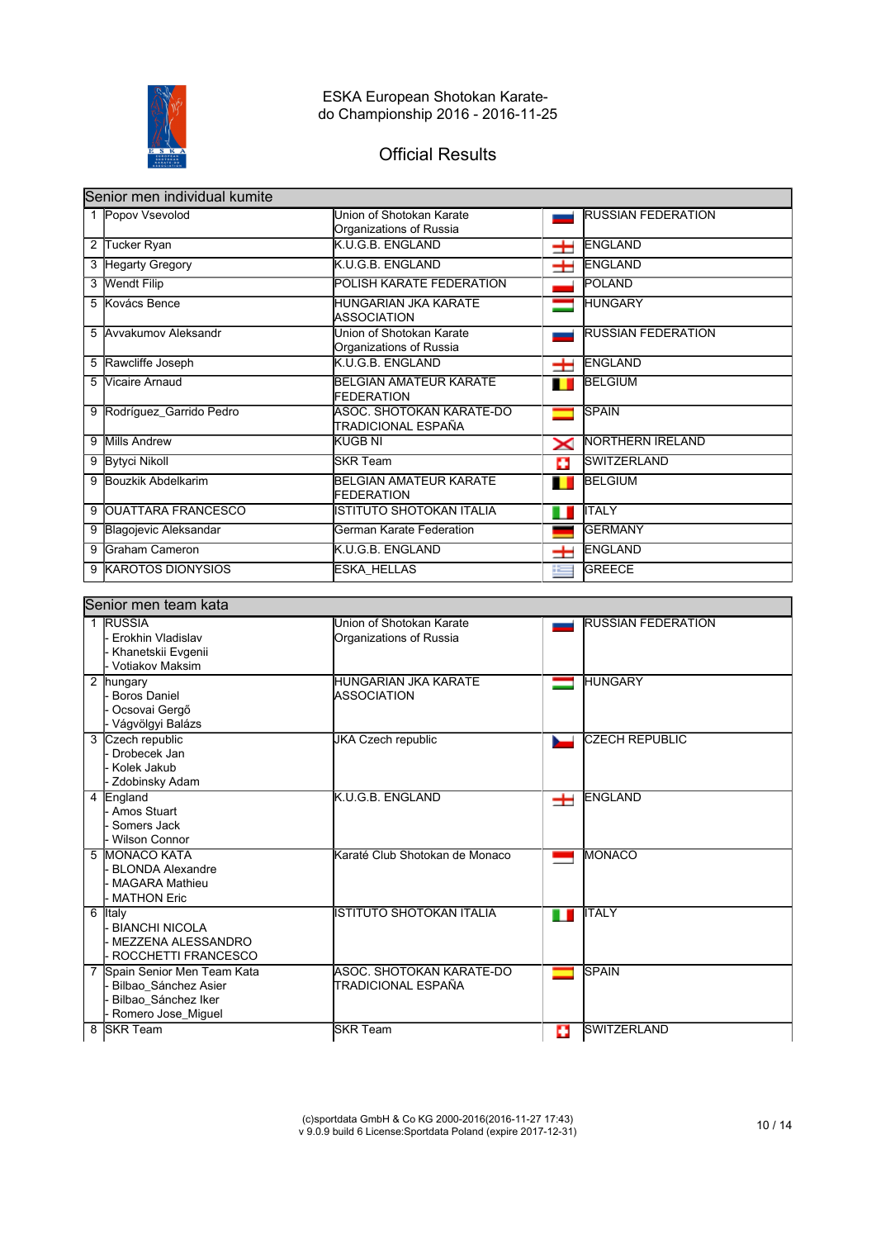

# Official Results

|   | Senior men individual kumite |                                                     |       |                           |  |
|---|------------------------------|-----------------------------------------------------|-------|---------------------------|--|
|   | 1 Popov Vsevolod             | Union of Shotokan Karate<br>Organizations of Russia |       | <b>RUSSIAN FEDERATION</b> |  |
| 2 | Tucker Ryan                  | K.U.G.B. ENGLAND                                    | ᆂ     | <b>ENGLAND</b>            |  |
| 3 | <b>Hegarty Gregory</b>       | K.U.G.B. ENGLAND                                    | $\pm$ | <b>ENGLAND</b>            |  |
|   | 3 Wendt Filip                | POLISH KARATE FEDERATION                            |       | POLAND                    |  |
|   | 5 Kovács Bence               | HUNGARIAN JKA KARATE<br>IASSOCIATION                |       | <b>HUNGARY</b>            |  |
|   | 5 Avvakumov Aleksandr        | Union of Shotokan Karate<br>Organizations of Russia |       | <b>RUSSIAN FEDERATION</b> |  |
| 5 | Rawcliffe Joseph             | K.U.G.B. ENGLAND                                    | ᆂ     | <b>ENGLAND</b>            |  |
| 5 | Vicaire Arnaud               | BELGIAN AMATEUR KARATE<br><b>FEDERATION</b>         | п     | <b>BELGIUM</b>            |  |
| 9 | Rodríguez_Garrido Pedro      | ASOC. SHOTOKAN KARATE-DO<br>ITRADICIONAL ESPAÑA     |       | <b>SPAIN</b>              |  |
| 9 | Mills Andrew                 | KUGB NI                                             | ✕     | NORTHERN IRELAND          |  |
| 9 | <b>Bytyci Nikoll</b>         | lSKR Team                                           | o     | <b>SWITZERLAND</b>        |  |
| 9 | Bouzkik Abdelkarim           | BELGIAN AMATEUR KARATE<br><b>FEDERATION</b>         | П     | <b>BELGIUM</b>            |  |
| 9 | <b>OUATTARA FRANCESCO</b>    | ISTITUTO SHOTOKAN ITALIA                            | ш     | <b>I</b> TALY             |  |
| 9 | Blagojevic Aleksandar        | German Karate Federation                            |       | <b>GERMANY</b>            |  |
| 9 | Graham Cameron               | K.U.G.B. ENGLAND                                    | ᆂ     | <b>ENGLAND</b>            |  |
| 9 | <b>KAROTOS DIONYSIOS</b>     | <b>ESKA HELLAS</b>                                  | æ     | <b>GREECE</b>             |  |

#### Senior men team kata 1 RUSSIA Erokhin Vladislav Khanetskii Evgenii - Votiakov Maksim Union of Shotokan Karate Organizations of Russia RUSSIAN FEDERATION 2 hungary - Boros Daniel - Ocsovai Gergő - Vágvölgyi Balázs HUNGARIAN JKA KARATE ASSOCIATION **HUNGARY** 3 Czech republic - Drobecek Jan - Kolek Jakub - Zdobinsky Adam JKA Czech republic **CZECH REPUBLIC** 4 England - Amos Stuart - Somers Jack - Wilson Connor K.U.G.B. ENGLAND **ENGLAND** 5 MONACO KATA - BLONDA Alexandre MAGARA Mathieu - MATHON Eric Karaté Club Shotokan de Monaco **MONACO** 6 Italy BIANCHI NICOLA - MEZZENA ALESSANDRO - ROCCHETTI FRANCESCO ISTITUTO SHOTOKAN ITALIA ITALY 7 Spain Senior Men Team Kata - Bilbao\_Sánchez Asier Bilbao Sánchez Iker - Romero Jose\_Miguel<br>8 SKR Team ASOC. SHOTOKAN KARATE-DO TRADICIONAL ESPAÑA **SPAIN** SKR Team SWITZERLAND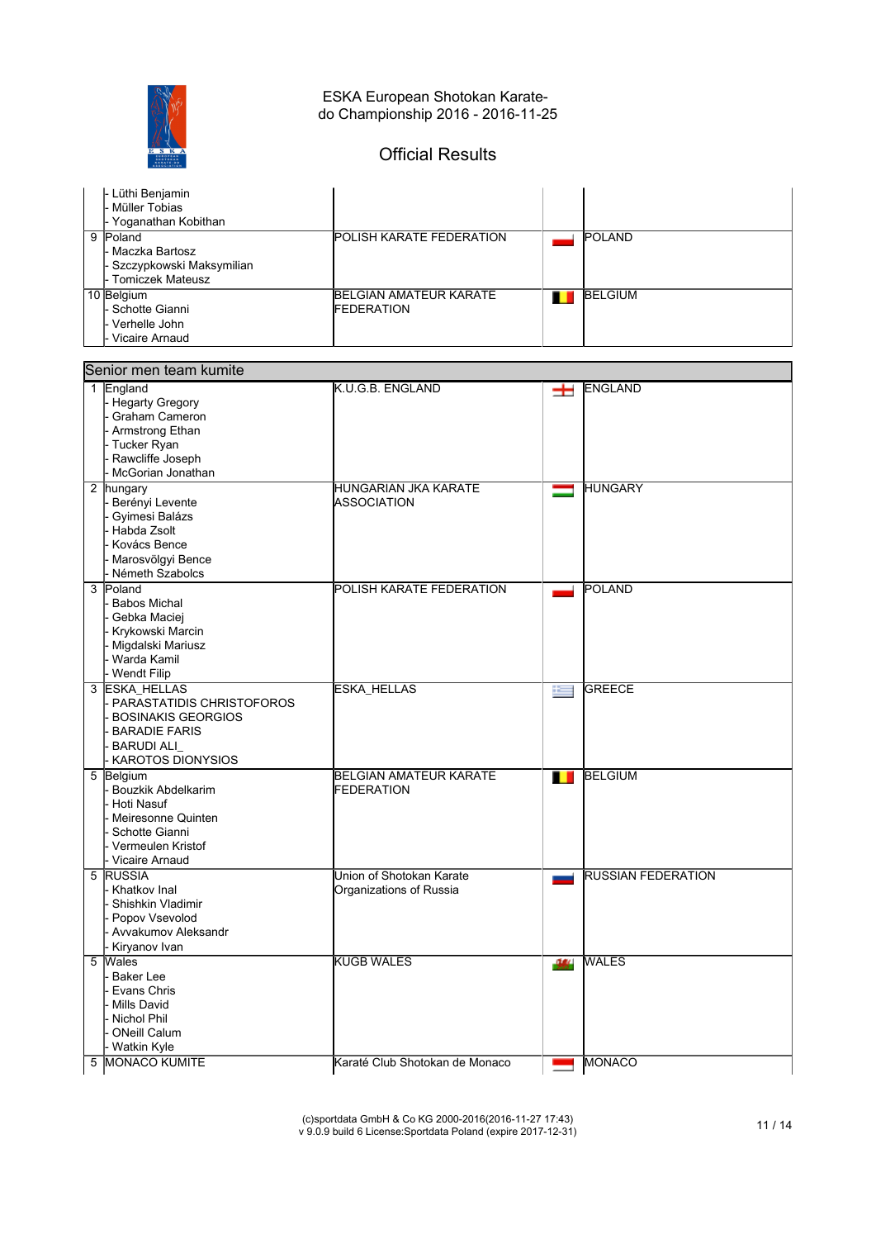

# Official Results

| - Lüthi Benjamin<br>- Müller Tobias<br>Yoganathan Kobithan                               |                                                      |                |
|------------------------------------------------------------------------------------------|------------------------------------------------------|----------------|
| 9<br>Poland<br>- Maczka Bartosz<br>- Szczypkowski Maksymilian<br><b>Tomiczek Mateusz</b> | <b>POLISH KARATE FEDERATION</b>                      | <b>POLAND</b>  |
| 10 Belgium<br>l- Schotte Gianni<br>Verhelle John<br>Vicaire Arnaud                       | <b>IBELGIAN AMATEUR KARATE</b><br><b>IFEDERATION</b> | <b>BELGIUM</b> |

| Senior men team kumite                                                                                                                    |                                                     |                           |  |  |  |
|-------------------------------------------------------------------------------------------------------------------------------------------|-----------------------------------------------------|---------------------------|--|--|--|
| 1 England<br><b>Hegarty Gregory</b><br>Graham Cameron<br>Armstrong Ethan<br>Tucker Ryan<br>Rawcliffe Joseph<br>McGorian Jonathan          | K.U.G.B. ENGLAND                                    | ENGLAND<br>士              |  |  |  |
| 2 hungary<br>Berényi Levente<br>Gyimesi Balázs<br>Habda Zsolt<br>Kovács Bence<br>Marosvölgyi Bence<br>Németh Szabolcs                     | HUNGARIAN JKA KARATE<br>ASSOCIATION                 | HUNGARY                   |  |  |  |
| 3 Poland<br><b>Babos Michal</b><br>Gebka Maciej<br>Krykowski Marcin<br>Migdalski Mariusz<br>Warda Kamil<br>Wendt Filip                    | POLISH KARATE FEDERATION                            | <b>POLAND</b>             |  |  |  |
| 3 ESKA_HELLAS<br>PARASTATIDIS CHRISTOFOROS<br><b>BOSINAKIS GEORGIOS</b><br><b>BARADIE FARIS</b><br><b>BARUDI ALI</b><br>KAROTOS DIONYSIOS | <b>ESKA_HELLAS</b>                                  | <b>GREECE</b><br>医目       |  |  |  |
| 5 Belgium<br><b>Bouzkik Abdelkarim</b><br>Hoti Nasuf<br>Meiresonne Quinten<br>Schotte Gianni<br>Vermeulen Kristof<br>Vicaire Arnaud       | <b>BELGIAN AMATEUR KARATE</b><br><b>FEDERATION</b>  | <b>BELGIUM</b><br>П       |  |  |  |
| <b>RUSSIA</b><br>5<br>Khatkov Inal<br>Shishkin Vladimir<br>Popov Vsevolod<br>Avvakumov Aleksandr<br>Kiryanov Ivan                         | Union of Shotokan Karate<br>Organizations of Russia | <b>RUSSIAN FEDERATION</b> |  |  |  |
| Wales<br>5<br>Baker Lee<br>Evans Chris<br><b>Mills David</b><br><b>Nichol Phil</b><br><b>ONeill Calum</b><br>Watkin Kyle                  | <b>KUGB WALES</b>                                   | <b>WALES</b><br>-164      |  |  |  |
| MONACO KUMITE<br>5                                                                                                                        | Karaté Club Shotokan de Monaco                      | MONACO<br>ш.              |  |  |  |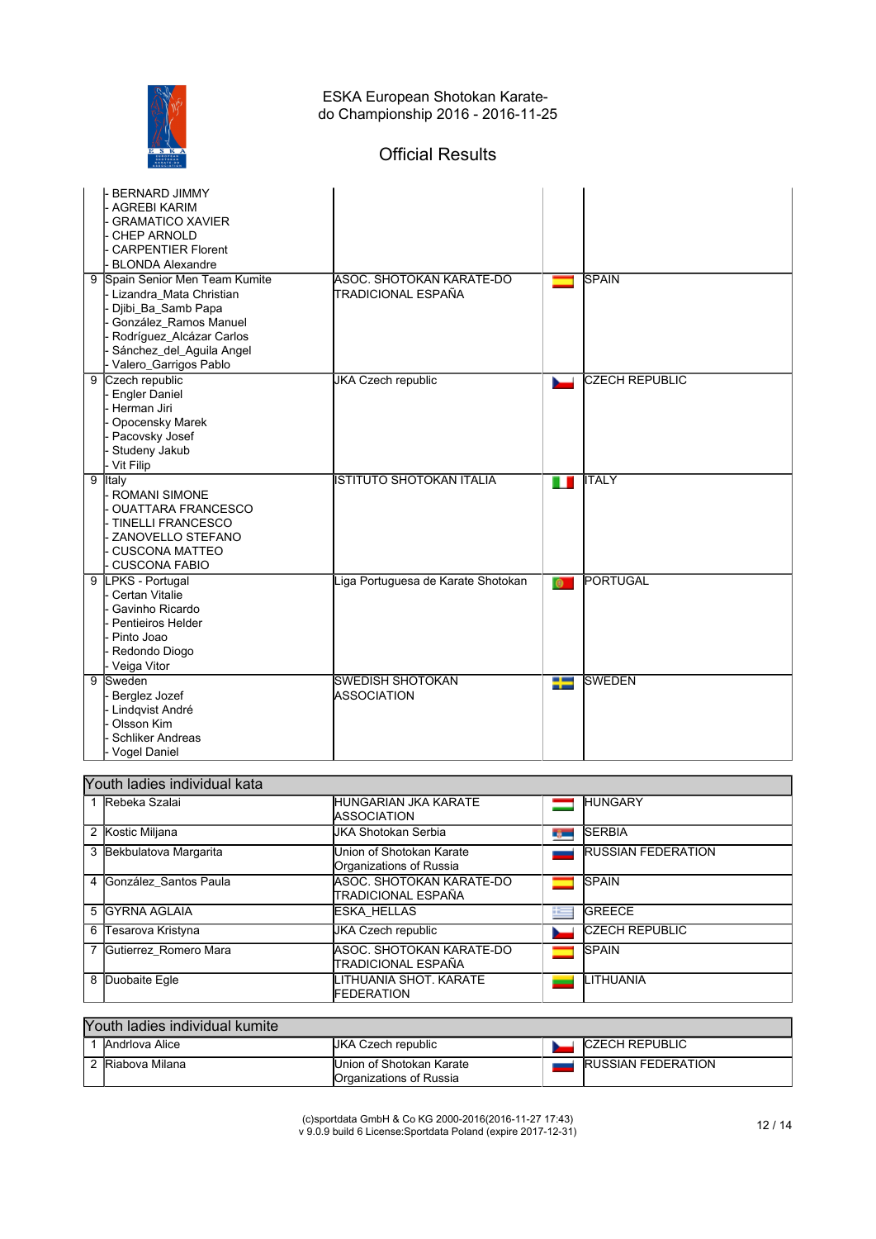

# Official Results

| <b>BERNARD JIMMY</b><br>- AGREBI KARIM<br><b>GRAMATICO XAVIER</b><br><b>CHEP ARNOLD</b><br><b>CARPENTIER Florent</b><br><b>BLONDA Alexandre</b>                                                  |                                                |           |                       |
|--------------------------------------------------------------------------------------------------------------------------------------------------------------------------------------------------|------------------------------------------------|-----------|-----------------------|
| Spain Senior Men Team Kumite<br>9<br>- Lizandra Mata Christian<br>Djibi_Ba_Samb Papa<br>González Ramos Manuel<br>Rodríguez_Alcázar Carlos<br>Sánchez_del_Aguila Angel<br>- Valero_Garrigos Pablo | ASOC, SHOTOKAN KARATE-DO<br>TRADICIONAL ESPAÑA |           | <b>SPAIN</b>          |
| Czech republic<br>$\overline{9}$<br>- Engler Daniel<br>Herman Jiri<br>Opocensky Marek<br>- Pacovsky Josef<br>Studeny Jakub<br>- Vit Filip                                                        | <b>JKA Czech republic</b>                      |           | <b>CZECH REPUBLIC</b> |
| $\overline{9}$<br>Italy<br>- ROMANI SIMONE<br><b>OUATTARA FRANCESCO</b><br>- TINELLI FRANCESCO<br>- ZANOVELLO STEFANO<br>CUSCONA MATTEO<br>- CUSCONA FABIO                                       | <b>ISTITUTO SHOTOKAN ITALIA</b>                | п         | <b>ITALY</b>          |
| LPKS - Portugal<br>9<br>- Certan Vitalie<br>Gavinho Ricardo<br>Pentieiros Helder<br>- Pinto Joao<br>- Redondo Diogo<br>- Veiga Vitor                                                             | Liga Portuguesa de Karate Shotokan             | $\bullet$ | PORTUGAL              |
| $\overline{9}$<br>Sweden<br>Berglez Jozef<br>- Lindqvist André<br>Olsson Kim<br><b>Schliker Andreas</b><br>- Vogel Daniel                                                                        | <b>SWEDISH SHOTOKAN</b><br><b>ASSOCIATION</b>  | Ŧ         | <b>SWEDEN</b>         |

| Youth ladies individual kata |                                                     |   |                           |  |  |
|------------------------------|-----------------------------------------------------|---|---------------------------|--|--|
| 1 Rebeka Szalai              | IHUNGARIAN JKA KARATE<br><b>IASSOCIATION</b>        |   | <b>HUNGARY</b>            |  |  |
| 2 Kostic Miljana             | UKA Shotokan Serbia                                 | œ | <b>SERBIA</b>             |  |  |
| 3 Bekbulatova Margarita      | Union of Shotokan Karate<br>Organizations of Russia |   | <b>RUSSIAN FEDERATION</b> |  |  |
| 4 González Santos Paula      | IASOC. SHOTOKAN KARATE-DO<br>TRADICIONAL ESPAÑA     |   | <b>SPAIN</b>              |  |  |
| 5 IGYRNA AGLAIA              | <b>IESKA HELLAS</b>                                 | æ | <b>GREECE</b>             |  |  |
| 6 Tesarova Kristyna          | UKA Czech republic                                  |   | <b>CZECH REPUBLIC</b>     |  |  |
| 7 Gutierrez Romero Mara      | ASOC. SHOTOKAN KARATE-DO<br>İTRADICIONAL ESPAÑA     |   | <b>SPAIN</b>              |  |  |
| 8 Duobaite Egle              | ITHUANIA SHOT. KARATE<br>FEDERATION                 |   | LITHUANIA                 |  |  |

## Youth ladies individual kumite

| Andrlova Alice | JKA (<br>، Czech republic                            | <b>ICZECH REPUBLIC</b>     |
|----------------|------------------------------------------------------|----------------------------|
| Riabova Milana | Union of Shotokan Karate<br>lOrganizations of Russia | <b>IRUSSIAN FEDERATION</b> |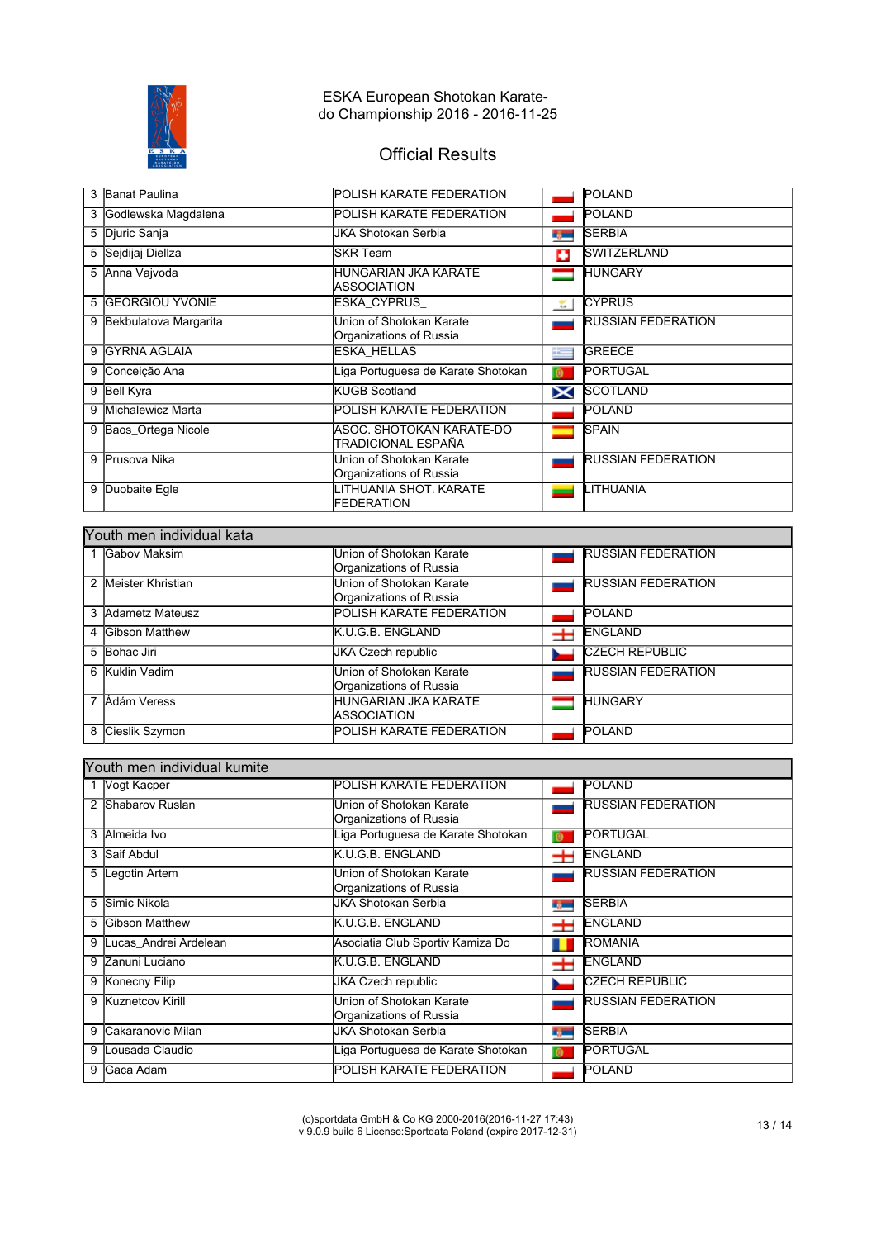

# Official Results

| 3 | <b>Banat Paulina</b>    | POLISH KARATE FEDERATION                            |               | <b>POLAND</b>             |
|---|-------------------------|-----------------------------------------------------|---------------|---------------------------|
| 3 | Godlewska Magdalena     | <b>POLISH KARATE FEDERATION</b>                     |               | POLAND                    |
|   | 5 Djuric Sanja          | JKA Shotokan Serbia                                 | <b>TOP</b>    | <b>SERBIA</b>             |
| 5 | Sejdijaj Diellza        | SKR Team                                            | o             | <b>SWITZERLAND</b>        |
|   | 5 Anna Vajvoda          | HUNGARIAN JKA KARATE<br>ASSOCIATION                 |               | <b>HUNGARY</b>            |
| 5 | <b>IGEORGIOU YVONIE</b> | ESKA CYPRUS                                         | $\mathcal{L}$ | <b>CYPRUS</b>             |
| 9 | Bekbulatova Margarita   | Union of Shotokan Karate<br>Organizations of Russia |               | <b>RUSSIAN FEDERATION</b> |
| 9 | <b>IGYRNA AGLAIA</b>    | ESKA HELLAS                                         | $\mathbf{r}$  | <b>GREECE</b>             |
| 9 | Conceição Ana           | Liga Portuguesa de Karate Shotokan                  | $\bullet$     | <b>PORTUGAL</b>           |
| 9 | Bell Kyra               | <b>KUGB Scotland</b>                                | X             | <b>SCOTLAND</b>           |
| 9 | Michalewicz Marta       | POLISH KARATE FEDERATION                            |               | POLAND                    |
| 9 | Baos Ortega Nicole      | ASOC. SHOTOKAN KARATE-DO<br>TRADICIONAL ESPAÑA      |               | <b>SPAIN</b>              |
| 9 | <b>Prusova Nika</b>     | Union of Shotokan Karate<br>Organizations of Russia |               | <b>RUSSIAN FEDERATION</b> |
| 9 | Duobaite Egle           | LITHUANIA SHOT. KARATE<br>FEDERATION                |               | LITHUANIA                 |

|   | Youth men individual kata |                                 |   |                           |  |  |
|---|---------------------------|---------------------------------|---|---------------------------|--|--|
|   | Gabov Maksim              | Union of Shotokan Karate        |   | <b>RUSSIAN FEDERATION</b> |  |  |
|   |                           | Organizations of Russia         |   |                           |  |  |
| 2 | Meister Khristian         | Union of Shotokan Karate        |   | <b>RUSSIAN FEDERATION</b> |  |  |
|   |                           | Organizations of Russia         |   |                           |  |  |
|   | 3 Adametz Mateusz         | <b>POLISH KARATE FEDERATION</b> |   | <b>POLAND</b>             |  |  |
|   | 4 Gibson Matthew          | K.U.G.B. ENGLAND                | + | ENGLAND                   |  |  |
| 5 | Bohac Jiri                | JKA Czech republic              |   | <b>CZECH REPUBLIC</b>     |  |  |
| 6 | Kuklin Vadim              | Union of Shotokan Karate        |   | <b>RUSSIAN FEDERATION</b> |  |  |
|   |                           | Organizations of Russia         |   |                           |  |  |
| 7 | Ádám Veress               | <b>HUNGARIAN JKA KARATE</b>     |   | <b>HUNGARY</b>            |  |  |
|   |                           | <b>IASSOCIATION</b>             |   |                           |  |  |
| 8 | Cieslik Szymon            | <b>POLISH KARATE FEDERATION</b> |   | <b>POLAND</b>             |  |  |

|   | Youth men individual kumite |                                                     |             |                           |  |  |
|---|-----------------------------|-----------------------------------------------------|-------------|---------------------------|--|--|
|   | 1 Vogt Kacper               | POLISH KARATE FEDERATION                            |             | POLAND                    |  |  |
| 2 | Shabarov Ruslan             | Union of Shotokan Karate<br>Organizations of Russia |             | <b>RUSSIAN FEDERATION</b> |  |  |
| 3 | Almeida Ivo                 | iga Portuguesa de Karate Shotokan                   | $\bullet$   | <b>PORTUGAL</b>           |  |  |
| 3 | Saif Abdul                  | K.U.G.B. ENGLAND                                    | 士           | <b>ENGLAND</b>            |  |  |
| 5 | Legotin Artem               | Union of Shotokan Karate<br>Organizations of Russia |             | <b>RUSSIAN FEDERATION</b> |  |  |
| 5 | Simic Nikola                | JKA Shotokan Serbia                                 | r, m        | <b>SERBIA</b>             |  |  |
| 5 | <b>Gibson Matthew</b>       | <b>K.U.G.B. ENGLAND</b>                             | ᆂ           | <b>ENGLAND</b>            |  |  |
| 9 | Lucas Andrei Ardelean       | Asociatia Club Sportiv Kamiza Do                    |             | <b>ROMANIA</b>            |  |  |
| 9 | Zanuni Luciano              | K.U.G.B. ENGLAND                                    | $\pm$       | <b>ENGLAND</b>            |  |  |
| 9 | Konecny Filip               | <b>JKA Czech republic</b>                           |             | <b>CZECH REPUBLIC</b>     |  |  |
| 9 | Kuznetcov Kirill            | Jnion of Shotokan Karate<br>Organizations of Russia |             | <b>RUSSIAN FEDERATION</b> |  |  |
| 9 | Cakaranovic Milan           | JKA Shotokan Serbia                                 | <b>Tara</b> | <b>SERBIA</b>             |  |  |
| 9 | Lousada Claudio             | iga Portuguesa de Karate Shotokan.                  | $\bullet$   | <b>PORTUGAL</b>           |  |  |
| 9 | Gaca Adam                   | POLISH KARATE FEDERATION                            |             | POLAND                    |  |  |